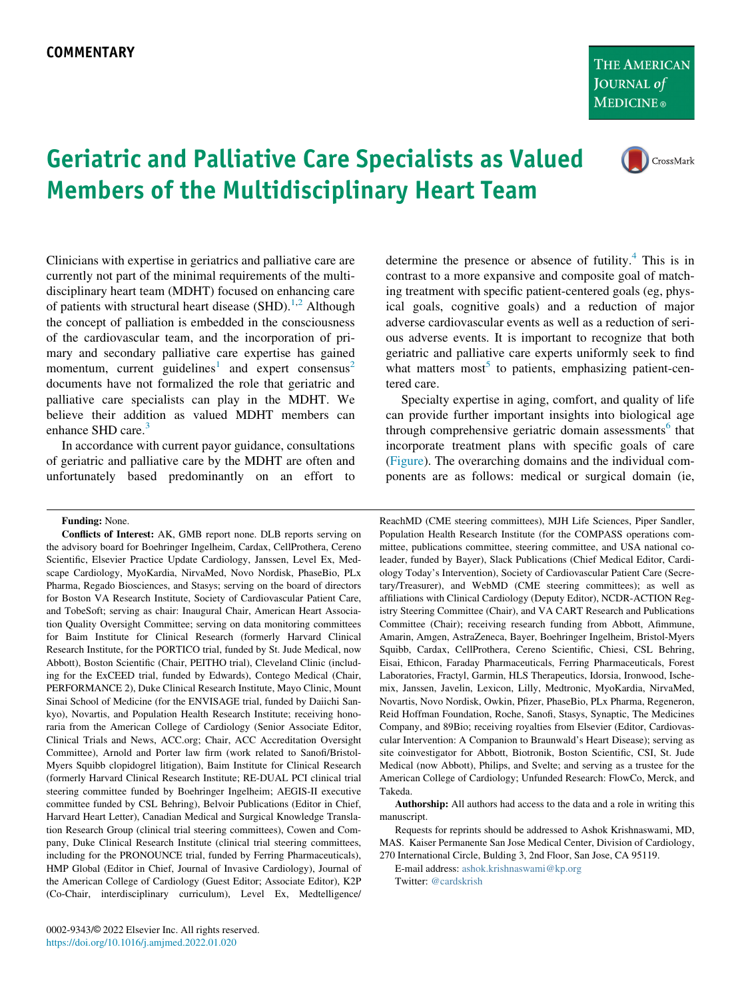THE AMERICAN **JOURNAL** of **MEDICINE**®

## CrossMark

## Geriatric and Palliative Care Specialists as Valued Members of the Multidisciplinary Heart Team

Clinicians with expertise in geriatrics and palliative care are currently not part of the minimal requirements of the multidisciplinary heart team (MDHT) focused on enhancing care of patients with structural heart disease  $(SHD)$ .<sup>[1,](#page-2-0)[2](#page-2-1)</sup> Although the concept of palliation is embedded in the consciousness of the cardiovascular team, and the incorporation of primary and secondary palliative care expertise has gained momentum, current guidelines<sup>[1](#page-2-0)</sup> and expert consensus<sup>[2](#page-2-1)</sup> documents have not formalized the role that geriatric and palliative care specialists can play in the MDHT. We believe their addition as valued MDHT members can enhance SHD care.<sup>[3](#page-2-2)</sup>

In accordance with current payor guidance, consultations of geriatric and palliative care by the MDHT are often and unfortunately based predominantly on an effort to

Funding: None.

Conflicts of Interest: AK, GMB report none. DLB reports serving on the advisory board for Boehringer Ingelheim, Cardax, CellProthera, Cereno Scientific, Elsevier Practice Update Cardiology, Janssen, Level Ex, Medscape Cardiology, MyoKardia, NirvaMed, Novo Nordisk, PhaseBio, PLx Pharma, Regado Biosciences, and Stasys; serving on the board of directors for Boston VA Research Institute, Society of Cardiovascular Patient Care, and TobeSoft; serving as chair: Inaugural Chair, American Heart Association Quality Oversight Committee; serving on data monitoring committees for Baim Institute for Clinical Research (formerly Harvard Clinical Research Institute, for the PORTICO trial, funded by St. Jude Medical, now Abbott), Boston Scientific (Chair, PEITHO trial), Cleveland Clinic (including for the ExCEED trial, funded by Edwards), Contego Medical (Chair, PERFORMANCE 2), Duke Clinical Research Institute, Mayo Clinic, Mount Sinai School of Medicine (for the ENVISAGE trial, funded by Daiichi Sankyo), Novartis, and Population Health Research Institute; receiving honoraria from the American College of Cardiology (Senior Associate Editor, Clinical Trials and News, ACC.org; Chair, ACC Accreditation Oversight Committee), Arnold and Porter law firm (work related to Sanofi/Bristol-Myers Squibb clopidogrel litigation), Baim Institute for Clinical Research (formerly Harvard Clinical Research Institute; RE-DUAL PCI clinical trial steering committee funded by Boehringer Ingelheim; AEGIS-II executive committee funded by CSL Behring), Belvoir Publications (Editor in Chief, Harvard Heart Letter), Canadian Medical and Surgical Knowledge Translation Research Group (clinical trial steering committees), Cowen and Company, Duke Clinical Research Institute (clinical trial steering committees, including for the PRONOUNCE trial, funded by Ferring Pharmaceuticals), HMP Global (Editor in Chief, Journal of Invasive Cardiology), Journal of the American College of Cardiology (Guest Editor; Associate Editor), K2P (Co-Chair, interdisciplinary curriculum), Level Ex, Medtelligence/

determine the presence or absence of futility. $4$  This is in contrast to a more expansive and composite goal of matching treatment with specific patient-centered goals (eg, physical goals, cognitive goals) and a reduction of major adverse cardiovascular events as well as a reduction of serious adverse events. It is important to recognize that both geriatric and palliative care experts uniformly seek to find what matters most<sup>[5](#page-2-4)</sup> to patients, emphasizing patient-centered care.

Specialty expertise in aging, comfort, and quality of life can provide further important insights into biological age through comprehensive geriatric domain assessments<sup>[6](#page-2-5)</sup> that incorporate treatment plans with specific goals of care [\(Figure](#page-1-0)). The overarching domains and the individual components are as follows: medical or surgical domain (ie,

ReachMD (CME steering committees), MJH Life Sciences, Piper Sandler, Population Health Research Institute (for the COMPASS operations committee, publications committee, steering committee, and USA national coleader, funded by Bayer), Slack Publications (Chief Medical Editor, Cardiology Today's Intervention), Society of Cardiovascular Patient Care (Secretary/Treasurer), and WebMD (CME steering committees); as well as affiliations with Clinical Cardiology (Deputy Editor), NCDR-ACTION Registry Steering Committee (Chair), and VA CART Research and Publications Committee (Chair); receiving research funding from Abbott, Afimmune, Amarin, Amgen, AstraZeneca, Bayer, Boehringer Ingelheim, Bristol-Myers Squibb, Cardax, CellProthera, Cereno Scientific, Chiesi, CSL Behring, Eisai, Ethicon, Faraday Pharmaceuticals, Ferring Pharmaceuticals, Forest Laboratories, Fractyl, Garmin, HLS Therapeutics, Idorsia, Ironwood, Ischemix, Janssen, Javelin, Lexicon, Lilly, Medtronic, MyoKardia, NirvaMed, Novartis, Novo Nordisk, Owkin, Pfizer, PhaseBio, PLx Pharma, Regeneron, Reid Hoffman Foundation, Roche, Sanofi, Stasys, Synaptic, The Medicines Company, and 89Bio; receiving royalties from Elsevier (Editor, Cardiovascular Intervention: A Companion to Braunwald's Heart Disease); serving as site coinvestigator for Abbott, Biotronik, Boston Scientific, CSI, St. Jude Medical (now Abbott), Philips, and Svelte; and serving as a trustee for the American College of Cardiology; Unfunded Research: FlowCo, Merck, and Takeda.

Authorship: All authors had access to the data and a role in writing this manuscript.

Requests for reprints should be addressed to Ashok Krishnaswami, MD, MAS. Kaiser Permanente San Jose Medical Center, Division of Cardiology, 270 International Circle, Bulding 3, 2nd Floor, San Jose, CA 95119.

E-mail address: [ashok.krishnaswami@kp.org](mailto:ashok.krishnaswami@kp.org) Twitter: [@cardskrish](mailto:@cardskrish)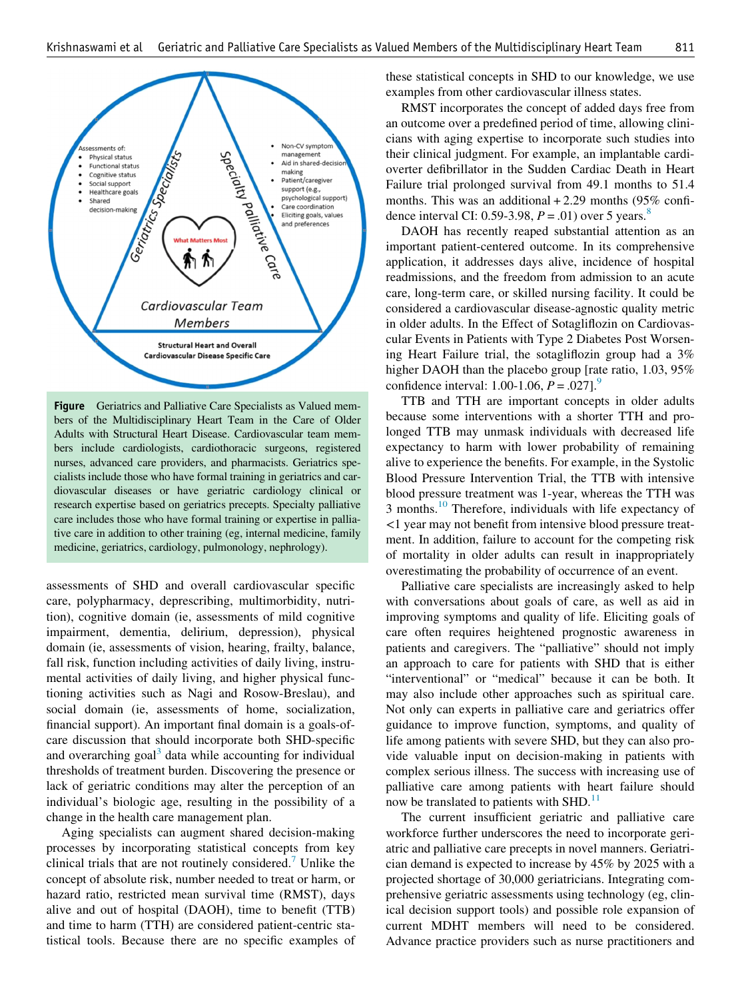<span id="page-1-0"></span>

Figure Geriatrics and Palliative Care Specialists as Valued members of the Multidisciplinary Heart Team in the Care of Older Adults with Structural Heart Disease. Cardiovascular team members include cardiologists, cardiothoracic surgeons, registered nurses, advanced care providers, and pharmacists. Geriatrics specialists include those who have formal training in geriatrics and cardiovascular diseases or have geriatric cardiology clinical or research expertise based on geriatrics precepts. Specialty palliative care includes those who have formal training or expertise in palliative care in addition to other training (eg, internal medicine, family medicine, geriatrics, cardiology, pulmonology, nephrology).

assessments of SHD and overall cardiovascular specific care, polypharmacy, deprescribing, multimorbidity, nutrition), cognitive domain (ie, assessments of mild cognitive impairment, dementia, delirium, depression), physical domain (ie, assessments of vision, hearing, frailty, balance, fall risk, function including activities of daily living, instrumental activities of daily living, and higher physical functioning activities such as Nagi and Rosow-Breslau), and social domain (ie, assessments of home, socialization, financial support). An important final domain is a goals-ofcare discussion that should incorporate both SHD-specific and overarching goal<sup>[3](#page-2-2)</sup> data while accounting for individual thresholds of treatment burden. Discovering the presence or lack of geriatric conditions may alter the perception of an individual's biologic age, resulting in the possibility of a change in the health care management plan.

Aging specialists can augment shared decision-making processes by incorporating statistical concepts from key clinical trials that are not routinely considered.<sup>[7](#page-2-6)</sup> Unlike the concept of absolute risk, number needed to treat or harm, or hazard ratio, restricted mean survival time (RMST), days alive and out of hospital (DAOH), time to benefit (TTB) and time to harm (TTH) are considered patient-centric statistical tools. Because there are no specific examples of

these statistical concepts in SHD to our knowledge, we use examples from other cardiovascular illness states.

RMST incorporates the concept of added days free from an outcome over a predefined period of time, allowing clinicians with aging expertise to incorporate such studies into their clinical judgment. For example, an implantable cardioverter defibrillator in the Sudden Cardiac Death in Heart Failure trial prolonged survival from 49.1 months to 51.4 months. This was an additional  $+2.29$  months (95% confi-dence interval CI: 0.59-3.9[8](#page-2-7),  $P = .01$ ) over 5 years.<sup>8</sup>

DAOH has recently reaped substantial attention as an important patient-centered outcome. In its comprehensive application, it addresses days alive, incidence of hospital readmissions, and the freedom from admission to an acute care, long-term care, or skilled nursing facility. It could be considered a cardiovascular disease-agnostic quality metric in older adults. In the Effect of Sotagliflozin on Cardiovascular Events in Patients with Type 2 Diabetes Post Worsening Heart Failure trial, the sotagliflozin group had a 3% higher DAOH than the placebo group [rate ratio, 1.03, 95% confidence interval: 1.00-1.06,  $P = .027$ ].

TTB and TTH are important concepts in older adults because some interventions with a shorter TTH and prolonged TTB may unmask individuals with decreased life expectancy to harm with lower probability of remaining alive to experience the benefits. For example, in the Systolic Blood Pressure Intervention Trial, the TTB with intensive blood pressure treatment was 1-year, whereas the TTH was 3 months.<sup>[10](#page-2-9)</sup> Therefore, individuals with life expectancy of <1 year may not benefit from intensive blood pressure treatment. In addition, failure to account for the competing risk of mortality in older adults can result in inappropriately overestimating the probability of occurrence of an event.

Palliative care specialists are increasingly asked to help with conversations about goals of care, as well as aid in improving symptoms and quality of life. Eliciting goals of care often requires heightened prognostic awareness in patients and caregivers. The "palliative" should not imply an approach to care for patients with SHD that is either "interventional" or "medical" because it can be both. It may also include other approaches such as spiritual care. Not only can experts in palliative care and geriatrics offer guidance to improve function, symptoms, and quality of life among patients with severe SHD, but they can also provide valuable input on decision-making in patients with complex serious illness. The success with increasing use of palliative care among patients with heart failure should now be translated to patients with SHD. $<sup>11</sup>$  $<sup>11</sup>$  $<sup>11</sup>$ </sup>

The current insufficient geriatric and palliative care workforce further underscores the need to incorporate geriatric and palliative care precepts in novel manners. Geriatrician demand is expected to increase by 45% by 2025 with a projected shortage of 30,000 geriatricians. Integrating comprehensive geriatric assessments using technology (eg, clinical decision support tools) and possible role expansion of current MDHT members will need to be considered. Advance practice providers such as nurse practitioners and